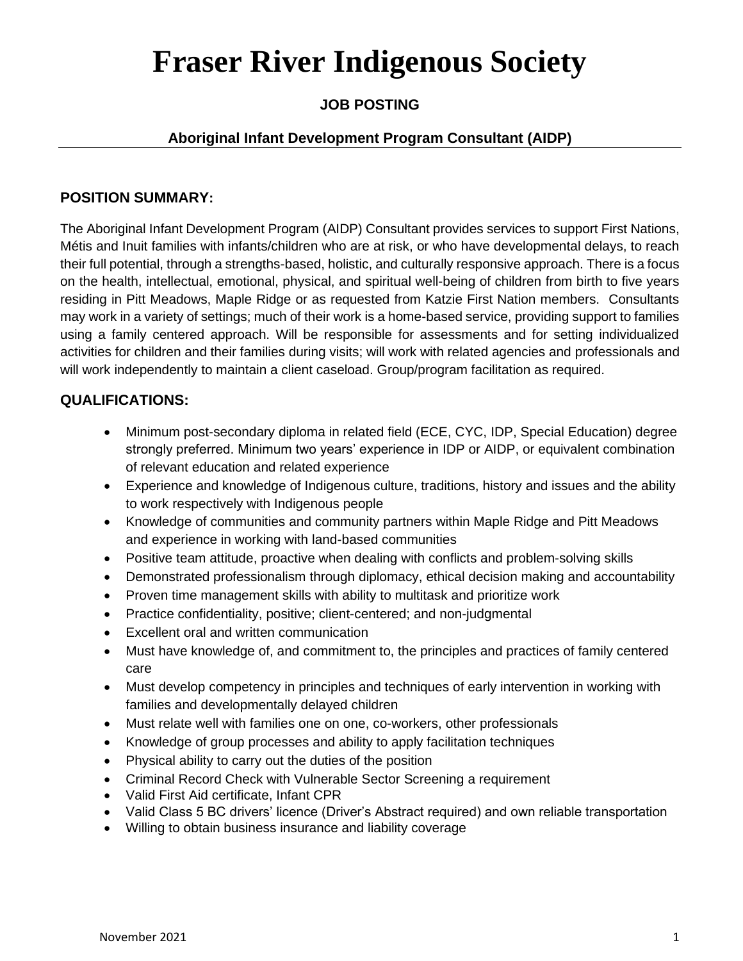# **Fraser River Indigenous Society**

### **JOB POSTING**

### **Aboriginal Infant Development Program Consultant (AIDP)**

#### **POSITION SUMMARY:**

The Aboriginal Infant Development Program (AIDP) Consultant provides services to support First Nations, Métis and Inuit families with infants/children who are at risk, or who have developmental delays, to reach their full potential, through a strengths-based, holistic, and culturally responsive approach. There is a focus on the health, intellectual, emotional, physical, and spiritual well-being of children from birth to five years residing in Pitt Meadows, Maple Ridge or as requested from Katzie First Nation members. Consultants may work in a variety of settings; much of their work is a home-based service, providing support to families using a family centered approach. Will be responsible for assessments and for setting individualized activities for children and their families during visits; will work with related agencies and professionals and will work independently to maintain a client caseload. Group/program facilitation as required.

### **QUALIFICATIONS:**

- Minimum post-secondary diploma in related field (ECE, CYC, IDP, Special Education) degree strongly preferred. Minimum two years' experience in IDP or AIDP, or equivalent combination of relevant education and related experience
- Experience and knowledge of Indigenous culture, traditions, history and issues and the ability to work respectively with Indigenous people
- Knowledge of communities and community partners within Maple Ridge and Pitt Meadows and experience in working with land-based communities
- Positive team attitude, proactive when dealing with conflicts and problem-solving skills
- Demonstrated professionalism through diplomacy, ethical decision making and accountability
- Proven time management skills with ability to multitask and prioritize work
- Practice confidentiality, positive; client-centered; and non-judgmental
- Excellent oral and written communication
- Must have knowledge of, and commitment to, the principles and practices of family centered care
- Must develop competency in principles and techniques of early intervention in working with families and developmentally delayed children
- Must relate well with families one on one, co-workers, other professionals
- Knowledge of group processes and ability to apply facilitation techniques
- Physical ability to carry out the duties of the position
- Criminal Record Check with Vulnerable Sector Screening a requirement
- Valid First Aid certificate, Infant CPR
- Valid Class 5 BC drivers' licence (Driver's Abstract required) and own reliable transportation
- Willing to obtain business insurance and liability coverage